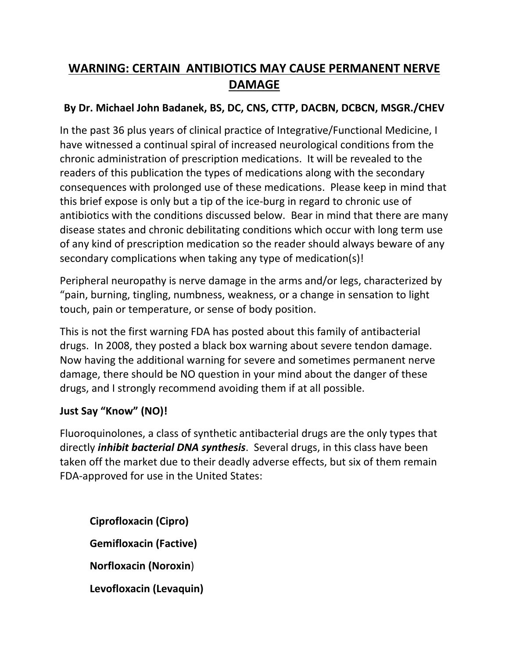## **WARNING: CERTAIN ANTIBIOTICS MAY CAUSE PERMANENT NERVE DAMAGE**

### **By Dr. Michael John Badanek, BS, DC, CNS, CTTP, DACBN, DCBCN, MSGR./CHEV**

In the past 36 plus years of clinical practice of Integrative/Functional Medicine, I have witnessed a continual spiral of increased neurological conditions from the chronic administration of prescription medications. It will be revealed to the readers of this publication the types of medications along with the secondary consequences with prolonged use of these medications. Please keep in mind that this brief expose is only but a tip of the ice-burg in regard to chronic use of antibiotics with the conditions discussed below. Bear in mind that there are many disease states and chronic debilitating conditions which occur with long term use of any kind of prescription medication so the reader should always beware of any secondary complications when taking any type of medication(s)!

Peripheral neuropathy is nerve damage in the arms and/or legs, characterized by "pain, burning, tingling, numbness, weakness, or a change in sensation to light touch, pain or temperature, or sense of body position.

This is not the first warning FDA has posted about this family of antibacterial drugs. In 2008, they posted a black box warning about severe tendon damage. Now having the additional warning for severe and sometimes permanent nerve damage, there should be NO question in your mind about the danger of these drugs, and I strongly recommend avoiding them if at all possible.

#### **Just Say "Know" (NO)!**

Fluoroquinolones, a class of synthetic antibacterial drugs are the only types that directly *inhibit bacterial DNA synthesis*. Several drugs, in this class have been taken off the market due to their deadly adverse effects, but six of them remain FDA-approved for use in the United States:

**Ciprofloxacin (Cipro) Gemifloxacin (Factive) Norfloxacin (Noroxin**) **Levofloxacin (Levaquin)**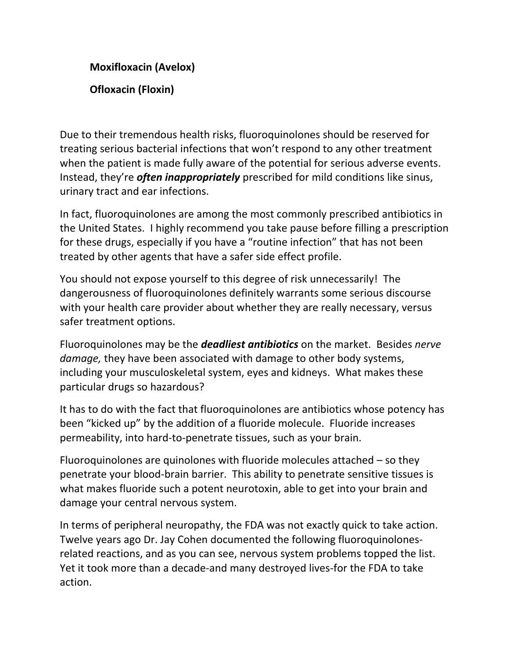# **Moxifloxacin (Avelox) Ofloxacin (Floxin)**

Due to their tremendous health risks, fluoroquinolones should be reserved for treating serious bacterial infections that won't respond to any other treatment when the patient is made fully aware of the potential for serious adverse events. Instead, they're *often inappropriately* prescribed for mild conditions like sinus, urinary tract and ear infections.

In fact, fluoroquinolones are among the most commonly prescribed antibiotics in the United States. I highly recommend you take pause before filling a prescription for these drugs, especially if you have a "routine infection" that has not been treated by other agents that have a safer side effect profile.

You should not expose yourself to this degree of risk unnecessarily! The dangerousness of fluoroquinolones definitely warrants some serious discourse with your health care provider about whether they are really necessary, versus safer treatment options.

Fluoroquinolones may be the *deadliest antibiotics* on the market. Besides *nerve damage,* they have been associated with damage to other body systems, including your musculoskeletal system, eyes and kidneys. What makes these particular drugs so hazardous?

It has to do with the fact that fluoroquinolones are antibiotics whose potency has been "kicked up" by the addition of a fluoride molecule. Fluoride increases permeability, into hard-to-penetrate tissues, such as your brain.

Fluoroquinolones are quinolones with fluoride molecules attached – so they penetrate your blood-brain barrier. This ability to penetrate sensitive tissues is what makes fluoride such a potent neurotoxin, able to get into your brain and damage your central nervous system.

In terms of peripheral neuropathy, the FDA was not exactly quick to take action. Twelve years ago Dr. Jay Cohen documented the following fluoroquinolonesrelated reactions, and as you can see, nervous system problems topped the list. Yet it took more than a decade-and many destroyed lives-for the FDA to take action.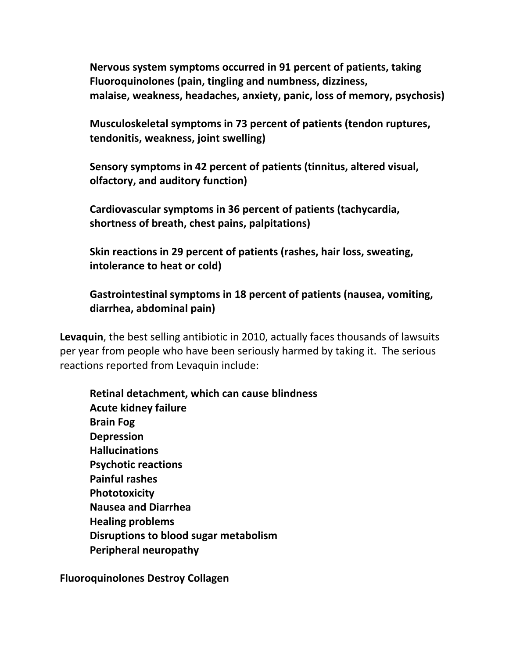**Nervous system symptoms occurred in 91 percent of patients, taking Fluoroquinolones (pain, tingling and numbness, dizziness, malaise, weakness, headaches, anxiety, panic, loss of memory, psychosis)**

**Musculoskeletal symptoms in 73 percent of patients (tendon ruptures, tendonitis, weakness, joint swelling)**

**Sensory symptoms in 42 percent of patients (tinnitus, altered visual, olfactory, and auditory function)**

**Cardiovascular symptoms in 36 percent of patients (tachycardia, shortness of breath, chest pains, palpitations)**

**Skin reactions in 29 percent of patients (rashes, hair loss, sweating, intolerance to heat or cold)**

**Gastrointestinal symptoms in 18 percent of patients (nausea, vomiting, diarrhea, abdominal pain)**

**Levaquin**, the best selling antibiotic in 2010, actually faces thousands of lawsuits per year from people who have been seriously harmed by taking it. The serious reactions reported from Levaquin include:

**Retinal detachment, which can cause blindness Acute kidney failure Brain Fog Depression Hallucinations Psychotic reactions Painful rashes Phototoxicity Nausea and Diarrhea Healing problems Disruptions to blood sugar metabolism Peripheral neuropathy**

**Fluoroquinolones Destroy Collagen**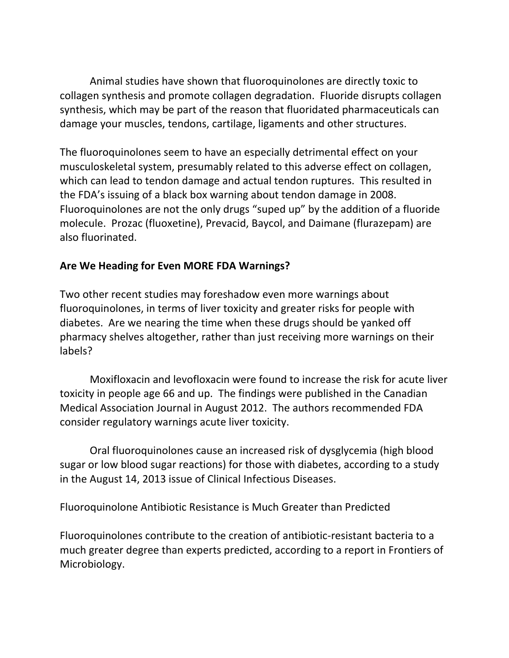Animal studies have shown that fluoroquinolones are directly toxic to collagen synthesis and promote collagen degradation. Fluoride disrupts collagen synthesis, which may be part of the reason that fluoridated pharmaceuticals can damage your muscles, tendons, cartilage, ligaments and other structures.

The fluoroquinolones seem to have an especially detrimental effect on your musculoskeletal system, presumably related to this adverse effect on collagen, which can lead to tendon damage and actual tendon ruptures. This resulted in the FDA's issuing of a black box warning about tendon damage in 2008. Fluoroquinolones are not the only drugs "suped up" by the addition of a fluoride molecule. Prozac (fluoxetine), Prevacid, Baycol, and Daimane (flurazepam) are also fluorinated.

#### **Are We Heading for Even MORE FDA Warnings?**

Two other recent studies may foreshadow even more warnings about fluoroquinolones, in terms of liver toxicity and greater risks for people with diabetes. Are we nearing the time when these drugs should be yanked off pharmacy shelves altogether, rather than just receiving more warnings on their labels?

Moxifloxacin and levofloxacin were found to increase the risk for acute liver toxicity in people age 66 and up. The findings were published in the Canadian Medical Association Journal in August 2012. The authors recommended FDA consider regulatory warnings acute liver toxicity.

Oral fluoroquinolones cause an increased risk of dysglycemia (high blood sugar or low blood sugar reactions) for those with diabetes, according to a study in the August 14, 2013 issue of Clinical Infectious Diseases.

Fluoroquinolone Antibiotic Resistance is Much Greater than Predicted

Fluoroquinolones contribute to the creation of antibiotic-resistant bacteria to a much greater degree than experts predicted, according to a report in Frontiers of Microbiology.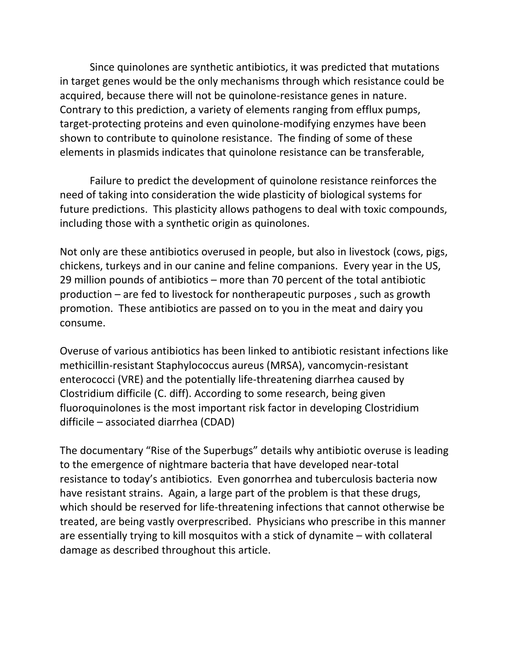Since quinolones are synthetic antibiotics, it was predicted that mutations in target genes would be the only mechanisms through which resistance could be acquired, because there will not be quinolone-resistance genes in nature. Contrary to this prediction, a variety of elements ranging from efflux pumps, target-protecting proteins and even quinolone-modifying enzymes have been shown to contribute to quinolone resistance. The finding of some of these elements in plasmids indicates that quinolone resistance can be transferable,

Failure to predict the development of quinolone resistance reinforces the need of taking into consideration the wide plasticity of biological systems for future predictions. This plasticity allows pathogens to deal with toxic compounds, including those with a synthetic origin as quinolones.

Not only are these antibiotics overused in people, but also in livestock (cows, pigs, chickens, turkeys and in our canine and feline companions. Every year in the US, 29 million pounds of antibiotics – more than 70 percent of the total antibiotic production – are fed to livestock for nontherapeutic purposes , such as growth promotion. These antibiotics are passed on to you in the meat and dairy you consume.

Overuse of various antibiotics has been linked to antibiotic resistant infections like methicillin-resistant Staphylococcus aureus (MRSA), vancomycin-resistant enterococci (VRE) and the potentially life-threatening diarrhea caused by Clostridium difficile (C. diff). According to some research, being given fluoroquinolones is the most important risk factor in developing Clostridium difficile – associated diarrhea (CDAD)

The documentary "Rise of the Superbugs" details why antibiotic overuse is leading to the emergence of nightmare bacteria that have developed near-total resistance to today's antibiotics. Even gonorrhea and tuberculosis bacteria now have resistant strains. Again, a large part of the problem is that these drugs, which should be reserved for life-threatening infections that cannot otherwise be treated, are being vastly overprescribed. Physicians who prescribe in this manner are essentially trying to kill mosquitos with a stick of dynamite – with collateral damage as described throughout this article.